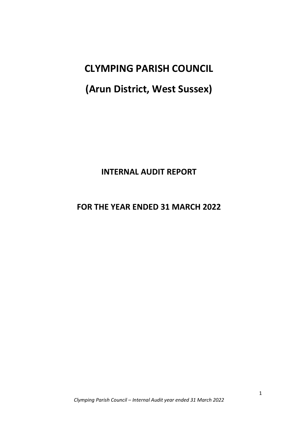**CLYMPING PARISH COUNCIL**

# **(Arun District, West Sussex)**

## **INTERNAL AUDIT REPORT**

### **FOR THE YEAR ENDED 31 MARCH 2022**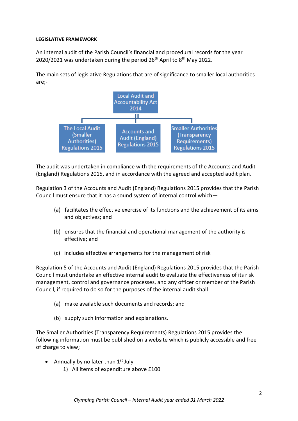#### **LEGISLATIVE FRAMEWORK**

An internal audit of the Parish Council's financial and procedural records for the year 2020/2021 was undertaken during the period 26<sup>th</sup> April to 8<sup>th</sup> May 2022.

The main sets of legislative Regulations that are of significance to smaller local authorities are;-



The audit was undertaken in compliance with the requirements of the Accounts and Audit (England) Regulations 2015, and in accordance with the agreed and accepted audit plan.

Regulation 3 of the Accounts and Audit (England) Regulations 2015 provides that the Parish Council must ensure that it has a sound system of internal control which—

- (a) facilitates the effective exercise of its functions and the achievement of its aims and objectives; and
- (b) ensures that the financial and operational management of the authority is effective; and
- (c) includes effective arrangements for the management of risk

Regulation 5 of the Accounts and Audit (England) Regulations 2015 provides that the Parish Council must undertake an effective internal audit to evaluate the effectiveness of its risk management, control and governance processes, and any officer or member of the Parish Council, if required to do so for the purposes of the internal audit shall -

- (a) make available such documents and records; and
- (b) supply such information and explanations.

The Smaller Authorities (Transparency Requirements) Regulations 2015 provides the following information must be published on a website which is publicly accessible and free of charge to view;

- Annually by no later than  $1<sup>st</sup>$  July
	- 1) All items of expenditure above £100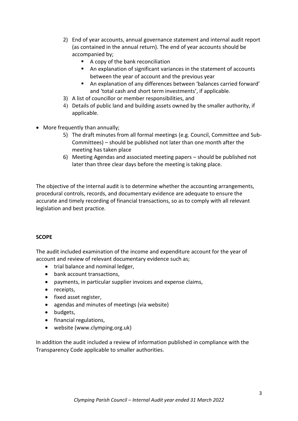- 2) End of year accounts, annual governance statement and internal audit report (as contained in the annual return). The end of year accounts should be accompanied by;
	- A copy of the bank reconciliation
	- An explanation of significant variances in the statement of accounts between the year of account and the previous year
	- An explanation of any differences between 'balances carried forward' and 'total cash and short term investments', if applicable.
- 3) A list of councillor or member responsibilities, and
- 4) Details of public land and building assets owned by the smaller authority, if applicable.
- More frequently than annually;
	- 5) The draft minutes from all formal meetings (e.g. Council, Committee and Sub-Committees) – should be published not later than one month after the meeting has taken place
	- 6) Meeting Agendas and associated meeting papers should be published not later than three clear days before the meeting is taking place.

The objective of the internal audit is to determine whether the accounting arrangements, procedural controls, records, and documentary evidence are adequate to ensure the accurate and timely recording of financial transactions, so as to comply with all relevant legislation and best practice.

#### **SCOPE**

The audit included examination of the income and expenditure account for the year of account and review of relevant documentary evidence such as;

- trial balance and nominal ledger,
- bank account transactions,
- payments, in particular supplier invoices and expense claims,
- receipts,
- fixed asset register,
- agendas and minutes of meetings (via website)
- budgets,
- financial regulations,
- website (www.clymping.org.uk)

In addition the audit included a review of information published in compliance with the Transparency Code applicable to smaller authorities.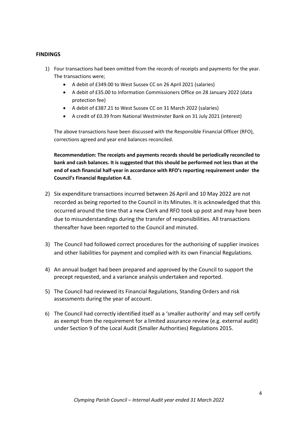#### **FINDINGS**

- 1) Four transactions had been omitted from the records of receipts and payments for the year. The transactions were;
	- A debit of £349.00 to West Sussex CC on 26 April 2021 (salaries)
	- A debit of £35.00 to Information Commissioners Office on 28 January 2022 (data protection fee)
	- A debit of £387.21 to West Sussex CC on 31 March 2022 (salaries)
	- A credit of £0.39 from National Westminster Bank on 31 July 2021 (interest)

The above transactions have been discussed with the Responsible Financial Officer (RFO), corrections agreed and year end balances reconciled.

**Recommendation: The receipts and payments records should be periodically reconciled to bank and cash balances. It is suggested that this should be performed not less than at the end of each financial half-year in accordance with RFO's reporting requirement under the Council's Financial Regulation 4.8.**

- 2) Six expenditure transactions incurred between 26 April and 10 May 2022 are not recorded as being reported to the Council in its Minutes. It is acknowledged that this occurred around the time that a new Clerk and RFO took up post and may have been due to misunderstandings during the transfer of responsibilities. All transactions thereafter have been reported to the Council and minuted.
- 3) The Council had followed correct procedures for the authorising of supplier invoices and other liabilities for payment and complied with its own Financial Regulations.
- 4) An annual budget had been prepared and approved by the Council to support the precept requested, and a variance analysis undertaken and reported.
- 5) The Council had reviewed its Financial Regulations, Standing Orders and risk assessments during the year of account.
- 6) The Council had correctly identified itself as a 'smaller authority' and may self certify as exempt from the requirement for a limited assurance review (e.g. external audit) under Section 9 of the Local Audit (Smaller Authorities) Regulations 2015.